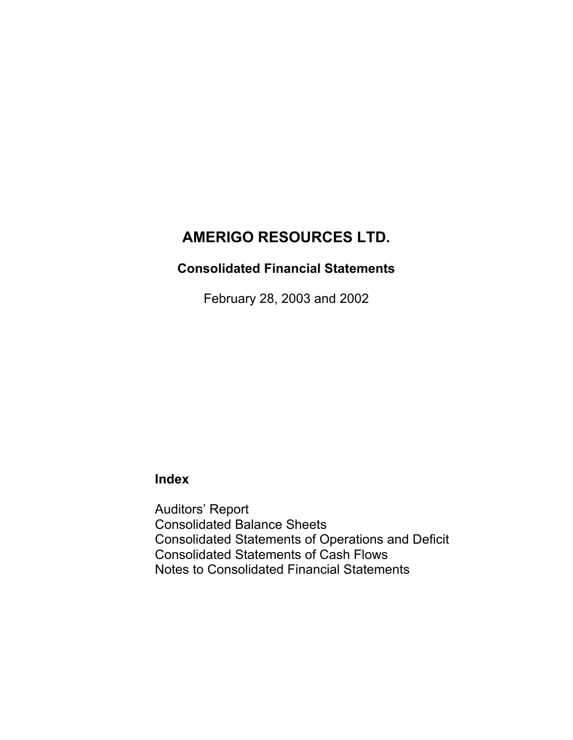# **Consolidated Financial Statements**

February 28, 2003 and 2002

# **Index**

Auditors' Report Consolidated Balance Sheets Consolidated Statements of Operations and Deficit Consolidated Statements of Cash Flows Notes to Consolidated Financial Statements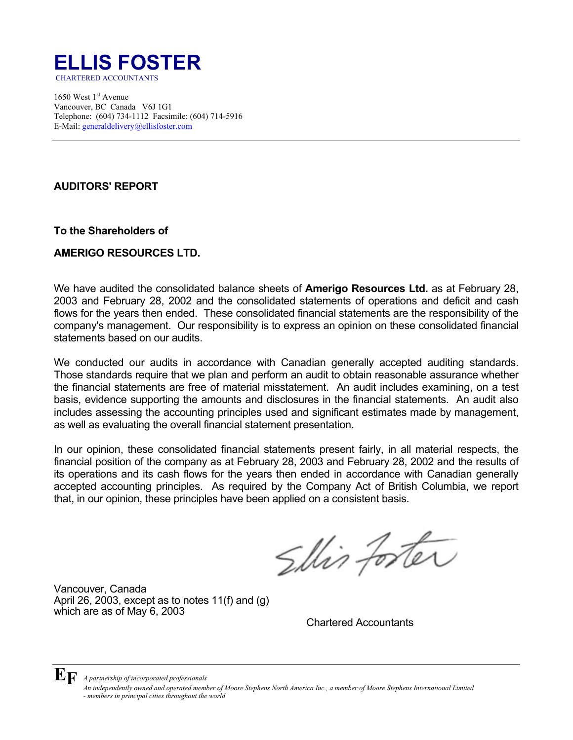

1650 West  $1<sup>st</sup>$  Avenue Vancouver, BC Canada V6J 1G1 Telephone: (604) 734-1112 Facsimile: (604) 714-5916 E-Mail: generaldelivery@ellisfoster.com

## **AUDITORS' REPORT**

**To the Shareholders of**

## **AMERIGO RESOURCES LTD.**

We have audited the consolidated balance sheets of **Amerigo Resources Ltd.** as at February 28, 2003 and February 28, 2002 and the consolidated statements of operations and deficit and cash flows for the years then ended. These consolidated financial statements are the responsibility of the company's management. Our responsibility is to express an opinion on these consolidated financial statements based on our audits.

We conducted our audits in accordance with Canadian generally accepted auditing standards. Those standards require that we plan and perform an audit to obtain reasonable assurance whether the financial statements are free of material misstatement. An audit includes examining, on a test basis, evidence supporting the amounts and disclosures in the financial statements. An audit also includes assessing the accounting principles used and significant estimates made by management, as well as evaluating the overall financial statement presentation.

In our opinion, these consolidated financial statements present fairly, in all material respects, the financial position of the company as at February 28, 2003 and February 28, 2002 and the results of its operations and its cash flows for the years then ended in accordance with Canadian generally accepted accounting principles. As required by the Company Act of British Columbia, we report that, in our opinion, these principles have been applied on a consistent basis.

Shir forter

Vancouver, Canada April 26, 2003, except as to notes 11(f) and (g) which are as of May 6, 2003

Chartered Accountants

**EF** *A partnership of incorporated professionals An independently owned and operated member of Moore Stephens North America Inc., a member of Moore Stephens International Limited - members in principal cities throughout the world*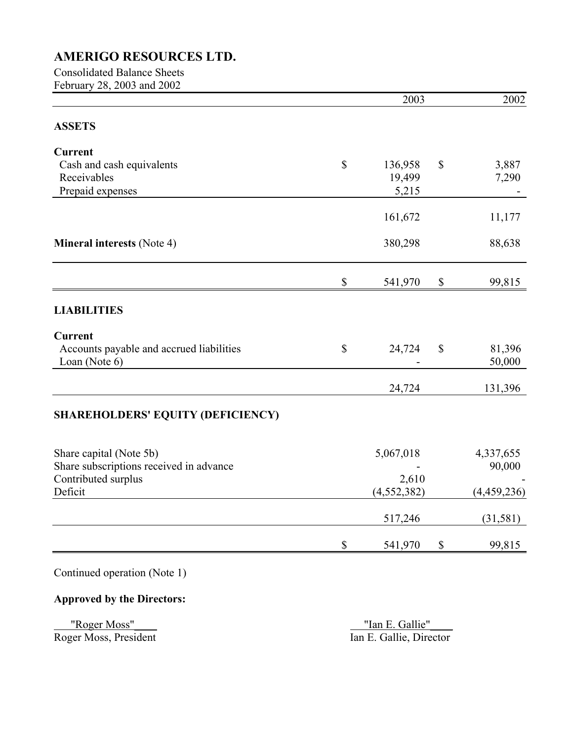## Consolidated Balance Sheets February 28, 2003 and 2002

|                                          |              | 2003          |                           | 2002        |
|------------------------------------------|--------------|---------------|---------------------------|-------------|
| <b>ASSETS</b>                            |              |               |                           |             |
| <b>Current</b>                           |              |               |                           |             |
| Cash and cash equivalents                | \$           | 136,958       | \$                        | 3,887       |
| Receivables                              |              | 19,499        |                           | 7,290       |
| Prepaid expenses                         |              | 5,215         |                           |             |
|                                          |              | 161,672       |                           | 11,177      |
| <b>Mineral interests (Note 4)</b>        |              | 380,298       |                           | 88,638      |
|                                          | \$           | 541,970       | \$                        | 99,815      |
| <b>LIABILITIES</b>                       |              |               |                           |             |
| <b>Current</b>                           |              |               |                           |             |
| Accounts payable and accrued liabilities | $\mathbb{S}$ | 24,724        | $\mathcal{S}$             | 81,396      |
| Loan (Note 6)                            |              |               |                           | 50,000      |
|                                          |              | 24,724        |                           | 131,396     |
| <b>SHAREHOLDERS' EQUITY (DEFICIENCY)</b> |              |               |                           |             |
| Share capital (Note 5b)                  |              | 5,067,018     |                           | 4,337,655   |
| Share subscriptions received in advance  |              |               |                           | 90,000      |
| Contributed surplus                      |              | 2,610         |                           |             |
| Deficit                                  |              | (4, 552, 382) |                           | (4,459,236) |
|                                          |              | 517,246       |                           | (31,581)    |
|                                          | \$           | 541,970       | $\boldsymbol{\mathsf{S}}$ | 99,815      |

Continued operation (Note 1)

# **Approved by the Directors:**

 "Roger Moss"\_\_\_\_ "Ian E. Gallie"\_\_\_\_ Roger Moss, President Ian E. Gallie, Director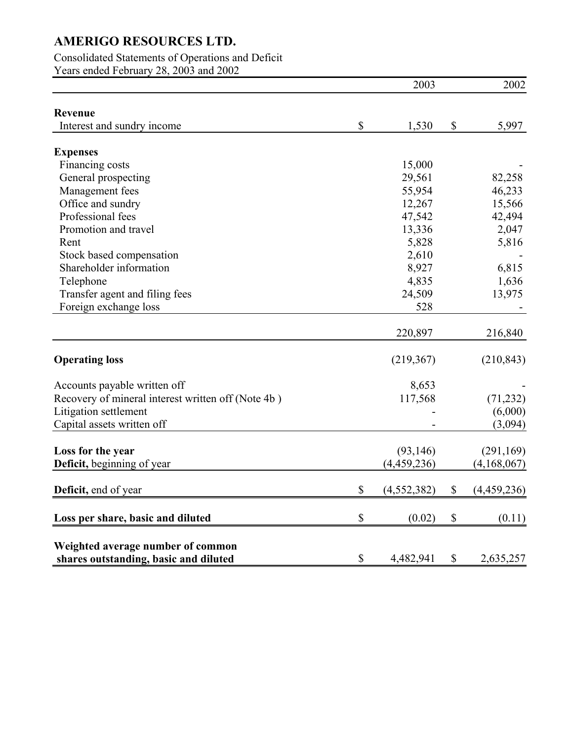## Consolidated Statements of Operations and Deficit

Years ended February 28, 2003 and 2002

|                                                                            |                           | 2003          |                           | 2002        |
|----------------------------------------------------------------------------|---------------------------|---------------|---------------------------|-------------|
| Revenue                                                                    |                           |               |                           |             |
| Interest and sundry income                                                 | \$                        | 1,530         | \$                        | 5,997       |
|                                                                            |                           |               |                           |             |
| <b>Expenses</b>                                                            |                           |               |                           |             |
| Financing costs                                                            |                           | 15,000        |                           |             |
| General prospecting                                                        |                           | 29,561        |                           | 82,258      |
| Management fees                                                            |                           | 55,954        |                           | 46,233      |
| Office and sundry                                                          |                           | 12,267        |                           | 15,566      |
| Professional fees                                                          |                           | 47,542        |                           | 42,494      |
| Promotion and travel                                                       |                           | 13,336        |                           | 2,047       |
| Rent                                                                       |                           | 5,828         |                           | 5,816       |
| Stock based compensation                                                   |                           | 2,610         |                           |             |
| Shareholder information                                                    |                           | 8,927         |                           | 6,815       |
| Telephone                                                                  |                           | 4,835         |                           | 1,636       |
| Transfer agent and filing fees                                             |                           | 24,509        |                           | 13,975      |
| Foreign exchange loss                                                      |                           | 528           |                           |             |
|                                                                            |                           |               |                           |             |
|                                                                            |                           | 220,897       |                           | 216,840     |
| <b>Operating loss</b>                                                      |                           | (219,367)     |                           | (210, 843)  |
| Accounts payable written off                                               |                           | 8,653         |                           |             |
| Recovery of mineral interest written off (Note 4b)                         |                           | 117,568       |                           | (71, 232)   |
| Litigation settlement                                                      |                           |               |                           | (6,000)     |
| Capital assets written off                                                 |                           |               |                           | (3,094)     |
|                                                                            |                           |               |                           |             |
| Loss for the year                                                          |                           | (93, 146)     |                           | (291, 169)  |
| <b>Deficit</b> , beginning of year                                         |                           | (4, 459, 236) |                           | (4,168,067) |
| <b>Deficit</b> , end of year                                               | $\boldsymbol{\mathsf{S}}$ | (4,552,382)   | $\boldsymbol{\mathsf{S}}$ | (4,459,236) |
| Loss per share, basic and diluted                                          | \$                        | (0.02)        | \$                        | (0.11)      |
|                                                                            |                           |               |                           |             |
| Weighted average number of common<br>shares outstanding, basic and diluted | \$                        | 4,482,941     | \$                        | 2,635,257   |
|                                                                            |                           |               |                           |             |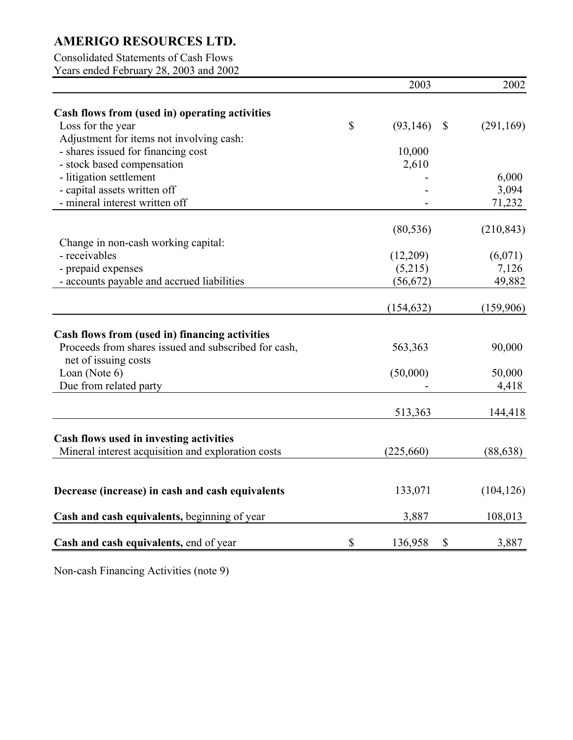## Consolidated Statements of Cash Flows

Years ended February 28, 2003 and 2002

|                                                      | 2003            |               | 2002       |
|------------------------------------------------------|-----------------|---------------|------------|
| Cash flows from (used in) operating activities       |                 |               |            |
| Loss for the year                                    | \$<br>(93, 146) | $\mathcal{S}$ | (291, 169) |
| Adjustment for items not involving cash:             |                 |               |            |
| - shares issued for financing cost                   | 10,000          |               |            |
| - stock based compensation                           | 2,610           |               |            |
| - litigation settlement                              |                 |               | 6,000      |
| - capital assets written off                         |                 |               | 3,094      |
| - mineral interest written off                       |                 |               | 71,232     |
|                                                      | (80, 536)       |               | (210, 843) |
| Change in non-cash working capital:                  |                 |               |            |
| - receivables                                        | (12,209)        |               | (6,071)    |
| - prepaid expenses                                   | (5,215)         |               | 7,126      |
| - accounts payable and accrued liabilities           | (56, 672)       |               | 49,882     |
|                                                      |                 |               |            |
|                                                      | (154, 632)      |               | (159,906)  |
| Cash flows from (used in) financing activities       |                 |               |            |
| Proceeds from shares issued and subscribed for cash, | 563,363         |               | 90,000     |
| net of issuing costs                                 |                 |               |            |
| Loan (Note 6)                                        | (50,000)        |               | 50,000     |
| Due from related party                               |                 |               | 4,418      |
|                                                      | 513,363         |               | 144,418    |
|                                                      |                 |               |            |
| Cash flows used in investing activities              |                 |               |            |
| Mineral interest acquisition and exploration costs   | (225,660)       |               | (88, 638)  |
|                                                      |                 |               |            |
| Decrease (increase) in cash and cash equivalents     | 133,071         |               | (104, 126) |
| Cash and cash equivalents, beginning of year         | 3,887           |               | 108,013    |
| Cash and cash equivalents, end of year               | \$<br>136,958   | \$            | 3,887      |
|                                                      |                 |               |            |

Non-cash Financing Activities (note 9)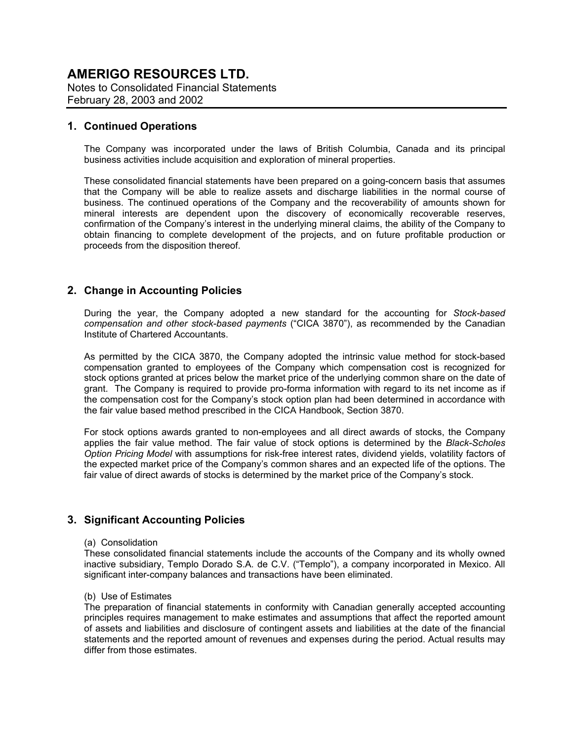Notes to Consolidated Financial Statements February 28, 2003 and 2002

### **1. Continued Operations**

The Company was incorporated under the laws of British Columbia, Canada and its principal business activities include acquisition and exploration of mineral properties.

These consolidated financial statements have been prepared on a going-concern basis that assumes that the Company will be able to realize assets and discharge liabilities in the normal course of business. The continued operations of the Company and the recoverability of amounts shown for mineral interests are dependent upon the discovery of economically recoverable reserves, confirmation of the Company's interest in the underlying mineral claims, the ability of the Company to obtain financing to complete development of the projects, and on future profitable production or proceeds from the disposition thereof.

## **2. Change in Accounting Policies**

During the year, the Company adopted a new standard for the accounting for *Stock-based compensation and other stock-based payments* ("CICA 3870"), as recommended by the Canadian Institute of Chartered Accountants.

As permitted by the CICA 3870, the Company adopted the intrinsic value method for stock-based compensation granted to employees of the Company which compensation cost is recognized for stock options granted at prices below the market price of the underlying common share on the date of grant. The Company is required to provide pro-forma information with regard to its net income as if the compensation cost for the Company's stock option plan had been determined in accordance with the fair value based method prescribed in the CICA Handbook, Section 3870.

For stock options awards granted to non-employees and all direct awards of stocks, the Company applies the fair value method. The fair value of stock options is determined by the *Black-Scholes Option Pricing Model* with assumptions for risk-free interest rates, dividend yields, volatility factors of the expected market price of the Company's common shares and an expected life of the options. The fair value of direct awards of stocks is determined by the market price of the Company's stock.

## **3. Significant Accounting Policies**

#### (a) Consolidation

These consolidated financial statements include the accounts of the Company and its wholly owned inactive subsidiary, Templo Dorado S.A. de C.V. ("Templo"), a company incorporated in Mexico. All significant inter-company balances and transactions have been eliminated.

#### (b) Use of Estimates

The preparation of financial statements in conformity with Canadian generally accepted accounting principles requires management to make estimates and assumptions that affect the reported amount of assets and liabilities and disclosure of contingent assets and liabilities at the date of the financial statements and the reported amount of revenues and expenses during the period. Actual results may differ from those estimates.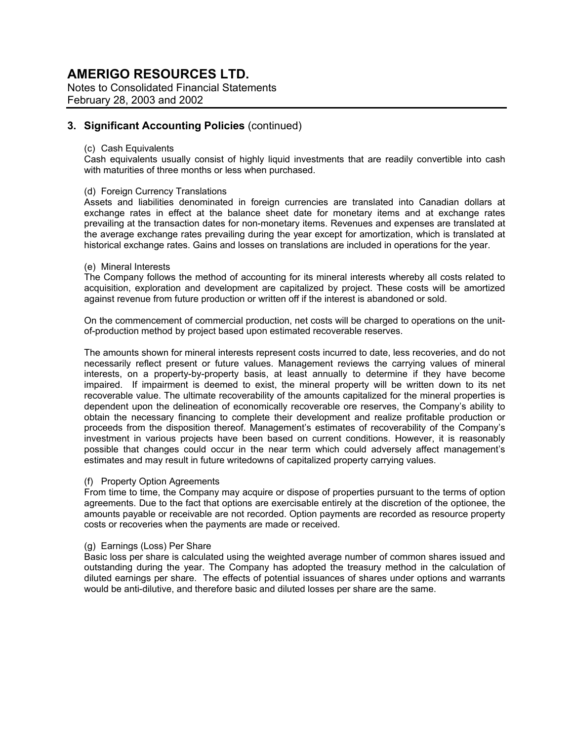Notes to Consolidated Financial Statements February 28, 2003 and 2002

## **3. Significant Accounting Policies** (continued)

#### (c) Cash Equivalents

Cash equivalents usually consist of highly liquid investments that are readily convertible into cash with maturities of three months or less when purchased.

#### (d) Foreign Currency Translations

Assets and liabilities denominated in foreign currencies are translated into Canadian dollars at exchange rates in effect at the balance sheet date for monetary items and at exchange rates prevailing at the transaction dates for non-monetary items. Revenues and expenses are translated at the average exchange rates prevailing during the year except for amortization, which is translated at historical exchange rates. Gains and losses on translations are included in operations for the year.

#### (e) Mineral Interests

The Company follows the method of accounting for its mineral interests whereby all costs related to acquisition, exploration and development are capitalized by project. These costs will be amortized against revenue from future production or written off if the interest is abandoned or sold.

On the commencement of commercial production, net costs will be charged to operations on the unitof-production method by project based upon estimated recoverable reserves.

The amounts shown for mineral interests represent costs incurred to date, less recoveries, and do not necessarily reflect present or future values. Management reviews the carrying values of mineral interests, on a property-by-property basis, at least annually to determine if they have become impaired. If impairment is deemed to exist, the mineral property will be written down to its net recoverable value. The ultimate recoverability of the amounts capitalized for the mineral properties is dependent upon the delineation of economically recoverable ore reserves, the Company's ability to obtain the necessary financing to complete their development and realize profitable production or proceeds from the disposition thereof. Management's estimates of recoverability of the Company's investment in various projects have been based on current conditions. However, it is reasonably possible that changes could occur in the near term which could adversely affect management's estimates and may result in future writedowns of capitalized property carrying values.

#### (f) Property Option Agreements

From time to time, the Company may acquire or dispose of properties pursuant to the terms of option agreements. Due to the fact that options are exercisable entirely at the discretion of the optionee, the amounts payable or receivable are not recorded. Option payments are recorded as resource property costs or recoveries when the payments are made or received.

#### (g) Earnings (Loss) Per Share

Basic loss per share is calculated using the weighted average number of common shares issued and outstanding during the year. The Company has adopted the treasury method in the calculation of diluted earnings per share. The effects of potential issuances of shares under options and warrants would be anti-dilutive, and therefore basic and diluted losses per share are the same.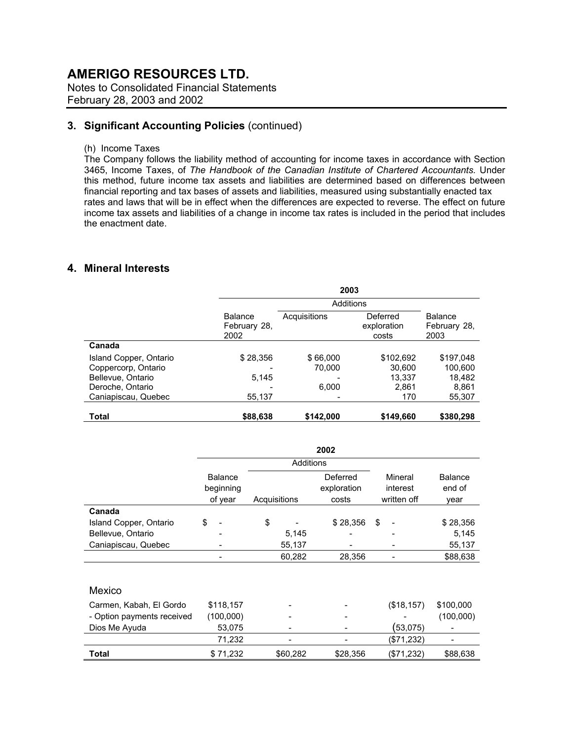Notes to Consolidated Financial Statements February 28, 2003 and 2002

## **3. Significant Accounting Policies** (continued)

(h) Income Taxes

The Company follows the liability method of accounting for income taxes in accordance with Section 3465, Income Taxes, of *The Handbook of the Canadian Institute of Chartered Accountants.* Under this method, future income tax assets and liabilities are determined based on differences between financial reporting and tax bases of assets and liabilities, measured using substantially enacted tax rates and laws that will be in effect when the differences are expected to reverse. The effect on future income tax assets and liabilities of a change in income tax rates is included in the period that includes the enactment date.

## **4. Mineral Interests**

|                        | 2003                                   |              |                                  |                                 |
|------------------------|----------------------------------------|--------------|----------------------------------|---------------------------------|
|                        |                                        | Additions    |                                  |                                 |
|                        | <b>Balance</b><br>February 28,<br>2002 | Acquisitions | Deferred<br>exploration<br>costs | Balance<br>February 28,<br>2003 |
| Canada                 |                                        |              |                                  |                                 |
| Island Copper, Ontario | \$28,356                               | \$66,000     | \$102,692                        | \$197,048                       |
| Coppercorp, Ontario    |                                        | 70,000       | 30,600                           | 100,600                         |
| Bellevue, Ontario      | 5,145                                  |              | 13,337                           | 18,482                          |
| Deroche, Ontario       |                                        | 6,000        | 2.861                            | 8,861                           |
| Caniapiscau, Quebec    | 55,137                                 |              | 170                              | 55,307                          |
| <b>Total</b>           | \$88,638                               | \$142.000    | \$149,660                        | \$380,298                       |

|                            |                |              | 2002        |             |                |
|----------------------------|----------------|--------------|-------------|-------------|----------------|
|                            |                | Additions    |             |             |                |
|                            | <b>Balance</b> |              | Deferred    | Mineral     | <b>Balance</b> |
|                            | beginning      |              | exploration | interest    | end of         |
|                            | of year        | Acquisitions | costs       | written off | year           |
| Canada                     |                |              |             |             |                |
| Island Copper, Ontario     | \$             | \$           | \$28,356    | \$          | \$28,356       |
| Bellevue, Ontario          |                | 5,145        |             |             | 5,145          |
| Caniapiscau, Quebec        |                | 55,137       |             |             | 55,137         |
|                            |                | 60,282       | 28,356      |             | \$88,638       |
|                            |                |              |             |             |                |
| Mexico                     |                |              |             |             |                |
| Carmen, Kabah, El Gordo    | \$118,157      |              |             | (\$18, 157) | \$100,000      |
| - Option payments received | (100,000)      |              |             |             | (100,000)      |
| Dios Me Ayuda              | 53,075         |              |             | (53,075)    |                |
|                            | 71,232         |              |             | (\$71,232)  |                |
| Total                      | \$71,232       | \$60,282     | \$28,356    | (\$71,232)  | \$88,638       |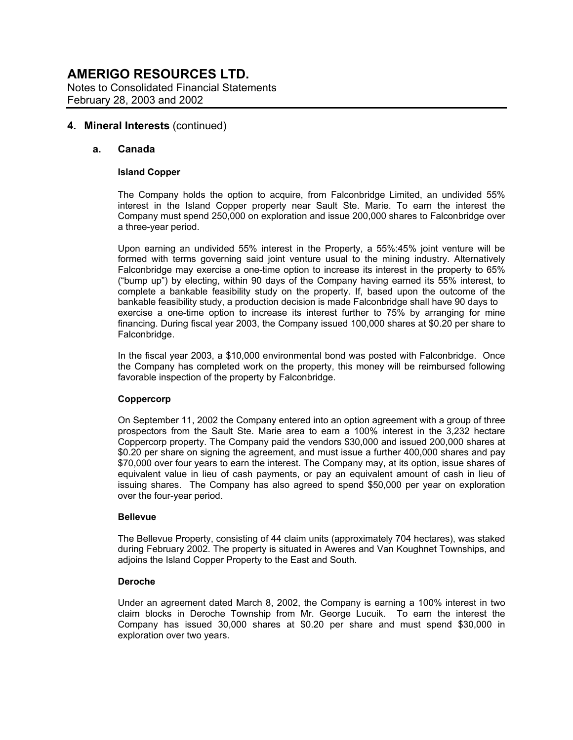#### **4. Mineral Interests** (continued)

#### **a. Canada**

#### **Island Copper**

The Company holds the option to acquire, from Falconbridge Limited, an undivided 55% interest in the Island Copper property near Sault Ste. Marie. To earn the interest the Company must spend 250,000 on exploration and issue 200,000 shares to Falconbridge over a three-year period.

Upon earning an undivided 55% interest in the Property, a 55%:45% joint venture will be formed with terms governing said joint venture usual to the mining industry. Alternatively Falconbridge may exercise a one-time option to increase its interest in the property to 65% ("bump up") by electing, within 90 days of the Company having earned its 55% interest, to complete a bankable feasibility study on the property. If, based upon the outcome of the bankable feasibility study, a production decision is made Falconbridge shall have 90 days to exercise a one-time option to increase its interest further to 75% by arranging for mine financing. During fiscal year 2003, the Company issued 100,000 shares at \$0.20 per share to Falconbridge.

In the fiscal year 2003, a \$10,000 environmental bond was posted with Falconbridge. Once the Company has completed work on the property, this money will be reimbursed following favorable inspection of the property by Falconbridge.

#### **Coppercorp**

On September 11, 2002 the Company entered into an option agreement with a group of three prospectors from the Sault Ste. Marie area to earn a 100% interest in the 3,232 hectare Coppercorp property. The Company paid the vendors \$30,000 and issued 200,000 shares at \$0.20 per share on signing the agreement, and must issue a further 400,000 shares and pay \$70,000 over four years to earn the interest. The Company may, at its option, issue shares of equivalent value in lieu of cash payments, or pay an equivalent amount of cash in lieu of issuing shares. The Company has also agreed to spend \$50,000 per year on exploration over the four-year period.

#### **Bellevue**

The Bellevue Property, consisting of 44 claim units (approximately 704 hectares), was staked during February 2002. The property is situated in Aweres and Van Koughnet Townships, and adjoins the Island Copper Property to the East and South.

#### **Deroche**

Under an agreement dated March 8, 2002, the Company is earning a 100% interest in two claim blocks in Deroche Township from Mr. George Lucuik. To earn the interest the Company has issued 30,000 shares at \$0.20 per share and must spend \$30,000 in exploration over two years.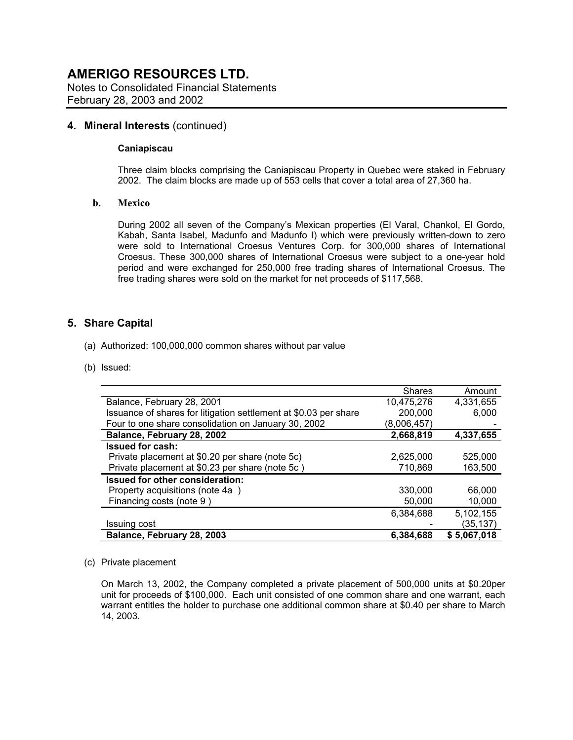Notes to Consolidated Financial Statements February 28, 2003 and 2002

### **4. Mineral Interests** (continued)

#### **Caniapiscau**

Three claim blocks comprising the Caniapiscau Property in Quebec were staked in February 2002. The claim blocks are made up of 553 cells that cover a total area of 27,360 ha.

#### **b. Mexico**

During 2002 all seven of the Company's Mexican properties (El Varal, Chankol, El Gordo, Kabah, Santa Isabel, Madunfo and Madunfo I) which were previously written-down to zero were sold to International Croesus Ventures Corp. for 300,000 shares of International Croesus. These 300,000 shares of International Croesus were subject to a one-year hold period and were exchanged for 250,000 free trading shares of International Croesus. The free trading shares were sold on the market for net proceeds of \$117,568.

## **5. Share Capital**

- (a) Authorized: 100,000,000 common shares without par value
- (b) Issued:

|                                                                  | <b>Shares</b> | Amount      |
|------------------------------------------------------------------|---------------|-------------|
| Balance, February 28, 2001                                       | 10,475,276    | 4.331.655   |
| Issuance of shares for litigation settlement at \$0.03 per share | 200,000       | 6,000       |
| Four to one share consolidation on January 30, 2002              | (8,006,457)   |             |
| Balance, February 28, 2002                                       | 2,668,819     | 4,337,655   |
| <b>Issued for cash:</b>                                          |               |             |
| Private placement at \$0.20 per share (note 5c)                  | 2,625,000     | 525,000     |
| Private placement at \$0.23 per share (note 5c)                  | 710,869       | 163,500     |
| Issued for other consideration:                                  |               |             |
| Property acquisitions (note 4a)                                  | 330,000       | 66,000      |
| Financing costs (note 9)                                         | 50,000        | 10,000      |
|                                                                  | 6,384,688     | 5,102,155   |
| <b>Issuing cost</b>                                              |               | (35,137)    |
| Balance, February 28, 2003                                       | 6.384.688     | \$5,067,018 |

#### (c) Private placement

On March 13, 2002, the Company completed a private placement of 500,000 units at \$0.20per unit for proceeds of \$100,000. Each unit consisted of one common share and one warrant, each warrant entitles the holder to purchase one additional common share at \$0.40 per share to March 14, 2003.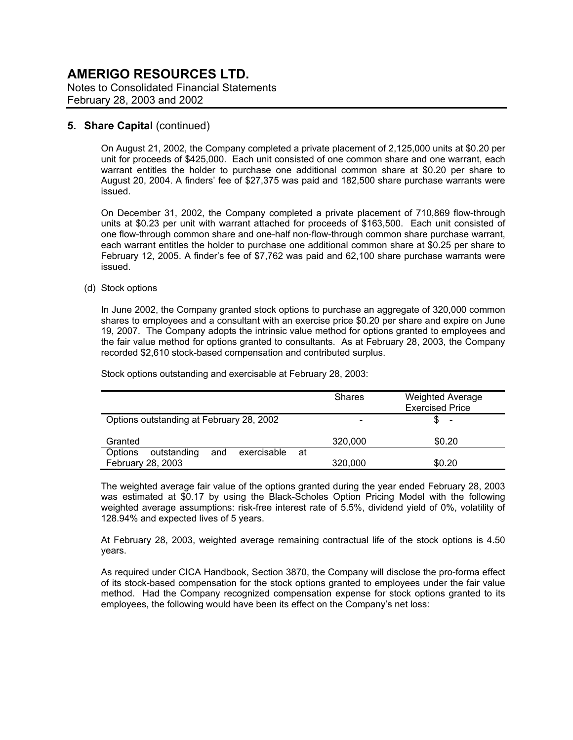Notes to Consolidated Financial Statements February 28, 2003 and 2002

### **5. Share Capital (continued)**

On August 21, 2002, the Company completed a private placement of 2,125,000 units at \$0.20 per unit for proceeds of \$425,000. Each unit consisted of one common share and one warrant, each warrant entitles the holder to purchase one additional common share at \$0.20 per share to August 20, 2004. A finders' fee of \$27,375 was paid and 182,500 share purchase warrants were issued.

On December 31, 2002, the Company completed a private placement of 710,869 flow-through units at \$0.23 per unit with warrant attached for proceeds of \$163,500. Each unit consisted of one flow-through common share and one-half non-flow-through common share purchase warrant, each warrant entitles the holder to purchase one additional common share at \$0.25 per share to February 12, 2005. A finder's fee of \$7,762 was paid and 62,100 share purchase warrants were issued.

#### (d) Stock options

In June 2002, the Company granted stock options to purchase an aggregate of 320,000 common shares to employees and a consultant with an exercise price \$0.20 per share and expire on June 19, 2007. The Company adopts the intrinsic value method for options granted to employees and the fair value method for options granted to consultants. As at February 28, 2003, the Company recorded \$2,610 stock-based compensation and contributed surplus.

Stock options outstanding and exercisable at February 28, 2003:

|                                                     | <b>Shares</b> | <b>Weighted Average</b><br><b>Exercised Price</b> |
|-----------------------------------------------------|---------------|---------------------------------------------------|
| Options outstanding at February 28, 2002            |               | \$<br>$\overline{\phantom{a}}$                    |
| Granted                                             | 320,000       | \$0.20                                            |
| exercisable<br><b>Options</b><br>outstanding<br>and | at            |                                                   |
| February 28, 2003                                   | 320,000       | \$0.20                                            |

The weighted average fair value of the options granted during the year ended February 28, 2003 was estimated at \$0.17 by using the Black-Scholes Option Pricing Model with the following weighted average assumptions: risk-free interest rate of 5.5%, dividend yield of 0%, volatility of 128.94% and expected lives of 5 years.

At February 28, 2003, weighted average remaining contractual life of the stock options is 4.50 years.

As required under CICA Handbook, Section 3870, the Company will disclose the pro-forma effect of its stock-based compensation for the stock options granted to employees under the fair value method. Had the Company recognized compensation expense for stock options granted to its employees, the following would have been its effect on the Company's net loss: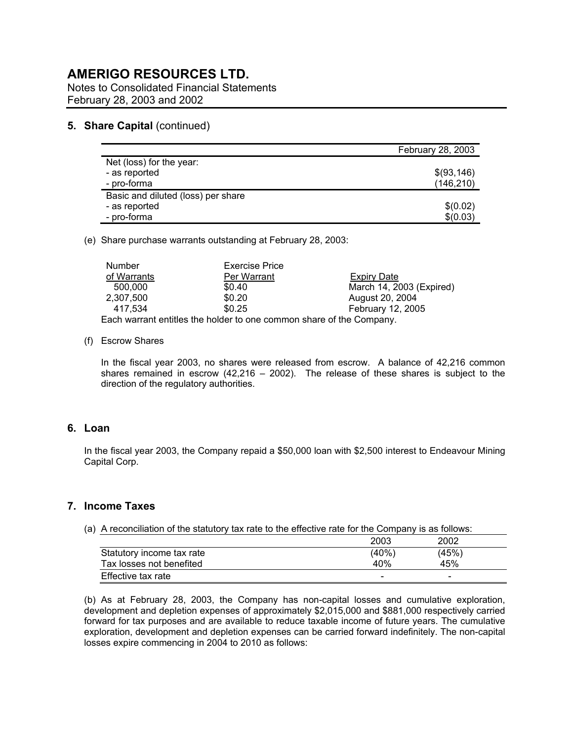Notes to Consolidated Financial Statements February 28, 2003 and 2002

#### **5. Share Capital (continued)**

|                                    | <b>February 28, 2003</b> |
|------------------------------------|--------------------------|
| Net (loss) for the year:           |                          |
| - as reported                      | \$(93,146)               |
| - pro-forma                        | (146, 210)               |
| Basic and diluted (loss) per share |                          |
| - as reported                      | \$(0.02)                 |
| - pro-forma                        | \$(0.03)                 |

(e) Share purchase warrants outstanding at February 28, 2003:

| Number                                                              | <b>Exercise Price</b> |                          |  |  |
|---------------------------------------------------------------------|-----------------------|--------------------------|--|--|
| of Warrants                                                         | Per Warrant           | Expiry Date              |  |  |
| 500,000                                                             | \$0.40                | March 14, 2003 (Expired) |  |  |
| 2.307.500                                                           | \$0.20                | August 20, 2004          |  |  |
| 417.534                                                             | \$0.25                | <b>February 12, 2005</b> |  |  |
| Each warrant entitles the holder to one common share of the Company |                       |                          |  |  |

Each warrant entitles the holder to one common share of the Company.

#### (f) Escrow Shares

In the fiscal year 2003, no shares were released from escrow. A balance of 42,216 common shares remained in escrow  $(42,216 - 2002)$ . The release of these shares is subject to the direction of the regulatory authorities.

#### **6. Loan**

In the fiscal year 2003, the Company repaid a \$50,000 loan with \$2,500 interest to Endeavour Mining Capital Corp.

## **7. Income Taxes**

(a) A reconciliation of the statutory tax rate to the effective rate for the Company is as follows:

|                           | 2003  | 2002  |  |
|---------------------------|-------|-------|--|
| Statutory income tax rate | (40%) | (45%) |  |
| Tax losses not benefited  | 40%   | 45%   |  |
| Effective tax rate        | -     | -     |  |

(b) As at February 28, 2003, the Company has non-capital losses and cumulative exploration, development and depletion expenses of approximately \$2,015,000 and \$881,000 respectively carried forward for tax purposes and are available to reduce taxable income of future years. The cumulative exploration, development and depletion expenses can be carried forward indefinitely. The non-capital losses expire commencing in 2004 to 2010 as follows: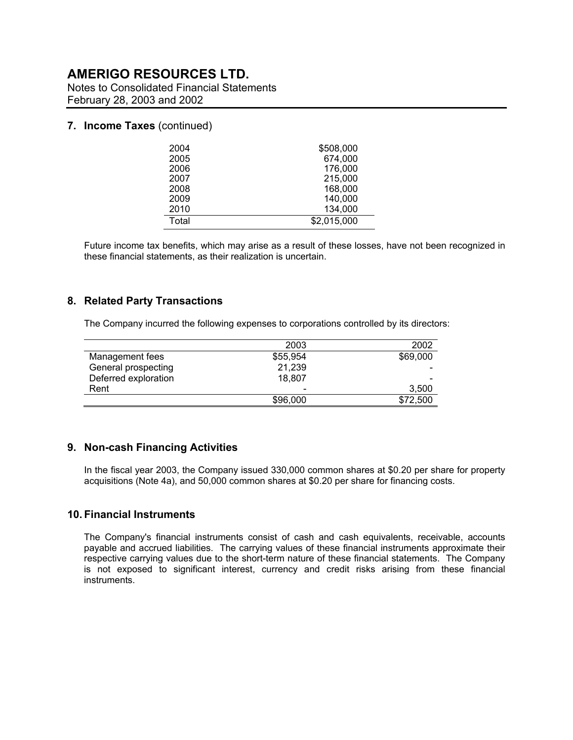Notes to Consolidated Financial Statements February 28, 2003 and 2002

#### **7. Income Taxes** (continued)

| 2004  | \$508,000   |
|-------|-------------|
| 2005  | 674,000     |
| 2006  | 176,000     |
| 2007  | 215,000     |
| 2008  | 168,000     |
| 2009  | 140,000     |
| 2010  | 134,000     |
| Total | \$2,015,000 |

Future income tax benefits, which may arise as a result of these losses, have not been recognized in these financial statements, as their realization is uncertain.

#### **8. Related Party Transactions**

The Company incurred the following expenses to corporations controlled by its directors:

|                      | 2003                     | 2002                     |
|----------------------|--------------------------|--------------------------|
| Management fees      | \$55.954                 | \$69,000                 |
| General prospecting  | 21,239                   | $\overline{\phantom{0}}$ |
| Deferred exploration | 18.807                   | -                        |
| Rent                 | $\overline{\phantom{a}}$ | 3.500                    |
|                      | \$96,000                 | \$72,500                 |

### **9. Non-cash Financing Activities**

In the fiscal year 2003, the Company issued 330,000 common shares at \$0.20 per share for property acquisitions (Note 4a), and 50,000 common shares at \$0.20 per share for financing costs.

#### **10. Financial Instruments**

The Company's financial instruments consist of cash and cash equivalents, receivable, accounts payable and accrued liabilities. The carrying values of these financial instruments approximate their respective carrying values due to the short-term nature of these financial statements. The Company is not exposed to significant interest, currency and credit risks arising from these financial instruments.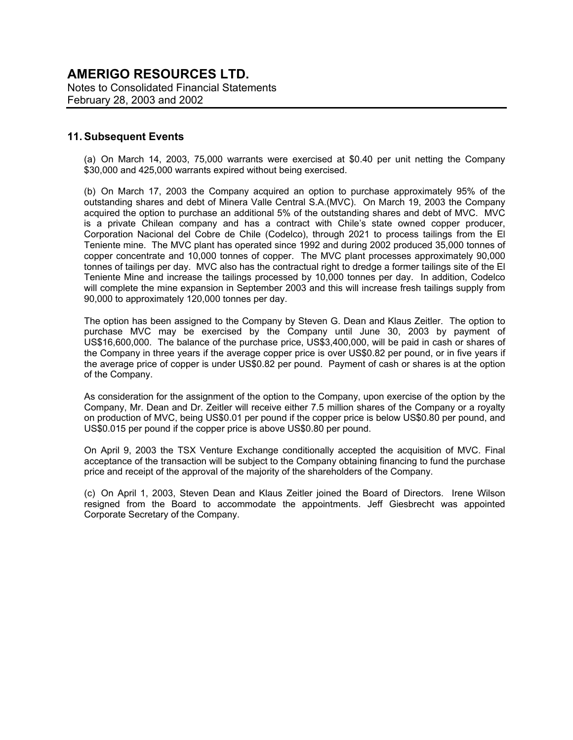## **AMERIGO RESOURCES LTD.**  Notes to Consolidated Financial Statements

February 28, 2003 and 2002

### **11. Subsequent Events**

(a) On March 14, 2003, 75,000 warrants were exercised at \$0.40 per unit netting the Company \$30,000 and 425,000 warrants expired without being exercised.

(b) On March 17, 2003 the Company acquired an option to purchase approximately 95% of the outstanding shares and debt of Minera Valle Central S.A.(MVC). On March 19, 2003 the Company acquired the option to purchase an additional 5% of the outstanding shares and debt of MVC. MVC is a private Chilean company and has a contract with Chile's state owned copper producer, Corporation Nacional del Cobre de Chile (Codelco), through 2021 to process tailings from the El Teniente mine. The MVC plant has operated since 1992 and during 2002 produced 35,000 tonnes of copper concentrate and 10,000 tonnes of copper. The MVC plant processes approximately 90,000 tonnes of tailings per day. MVC also has the contractual right to dredge a former tailings site of the El Teniente Mine and increase the tailings processed by 10,000 tonnes per day. In addition, Codelco will complete the mine expansion in September 2003 and this will increase fresh tailings supply from 90,000 to approximately 120,000 tonnes per day.

The option has been assigned to the Company by Steven G. Dean and Klaus Zeitler. The option to purchase MVC may be exercised by the Company until June 30, 2003 by payment of US\$16,600,000. The balance of the purchase price, US\$3,400,000, will be paid in cash or shares of the Company in three years if the average copper price is over US\$0.82 per pound, or in five years if the average price of copper is under US\$0.82 per pound. Payment of cash or shares is at the option of the Company.

As consideration for the assignment of the option to the Company, upon exercise of the option by the Company, Mr. Dean and Dr. Zeitler will receive either 7.5 million shares of the Company or a royalty on production of MVC, being US\$0.01 per pound if the copper price is below US\$0.80 per pound, and US\$0.015 per pound if the copper price is above US\$0.80 per pound.

On April 9, 2003 the TSX Venture Exchange conditionally accepted the acquisition of MVC. Final acceptance of the transaction will be subject to the Company obtaining financing to fund the purchase price and receipt of the approval of the majority of the shareholders of the Company.

(c) On April 1, 2003, Steven Dean and Klaus Zeitler joined the Board of Directors. Irene Wilson resigned from the Board to accommodate the appointments. Jeff Giesbrecht was appointed Corporate Secretary of the Company.